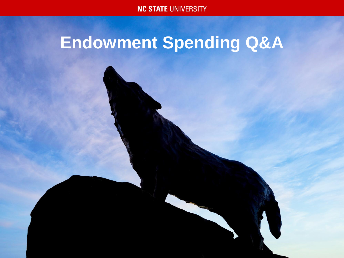**NC STATE UNIVERSITY** 

# **Endowment Spending Q&A**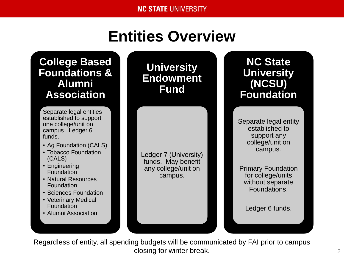## **Entities Overview**

**College Based Foundations & Alumni Association**

Separate legal entities established to support one college/unit on campus. Ledger 6 funds.

- Ag Foundation (CALS)
- Tobacco Foundation (CALS)
- Engineering **Foundation**
- Natural Resources Foundation
- Sciences Foundation
- Veterinary Medical Foundation
- Alumni Association

**University Endowment Fund**

Ledger 7 (University) funds. May benefit any college/unit on campus.

**NC State University (NCSU) Foundation**

Separate legal entity established to support any college/unit on campus.

Primary Foundation for college/units without separate Foundations.

Ledger 6 funds.

Regardless of entity, all spending budgets will be communicated by FAI prior to campus closing for winter break.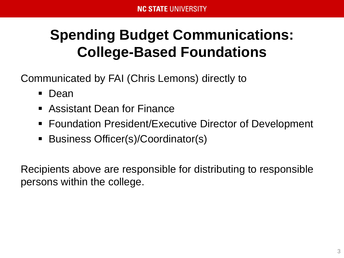## **Spending Budget Communications: College-Based Foundations**

Communicated by FAI (Chris Lemons) directly to

- Dean
- Assistant Dean for Finance
- Foundation President/Executive Director of Development
- Business Officer(s)/Coordinator(s)

Recipients above are responsible for distributing to responsible persons within the college.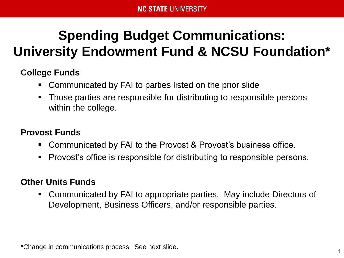## **Spending Budget Communications: University Endowment Fund & NCSU Foundation\***

### **College Funds**

- Communicated by FAI to parties listed on the prior slide
- Those parties are responsible for distributing to responsible persons within the college.

### **Provost Funds**

- Communicated by FAI to the Provost & Provost's business office.
- **Provost's office is responsible for distributing to responsible persons.**

### **Other Units Funds**

 Communicated by FAI to appropriate parties. May include Directors of Development, Business Officers, and/or responsible parties.

\*Change in communications process. See next slide.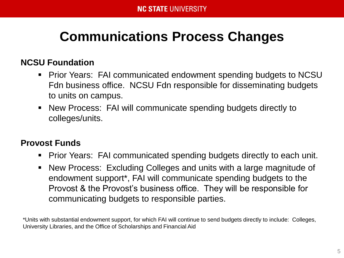### **Communications Process Changes**

### **NCSU Foundation**

- **Prior Years: FAI communicated endowment spending budgets to NCSU** Fdn business office. NCSU Fdn responsible for disseminating budgets to units on campus.
- New Process: FAI will communicate spending budgets directly to colleges/units.

### **Provost Funds**

- Prior Years: FAI communicated spending budgets directly to each unit.
- New Process: Excluding Colleges and units with a large magnitude of endowment support\*, FAI will communicate spending budgets to the Provost & the Provost's business office. They will be responsible for communicating budgets to responsible parties.

\*Units with substantial endowment support, for which FAI will continue to send budgets directly to include: Colleges, University Libraries, and the Office of Scholarships and Financial Aid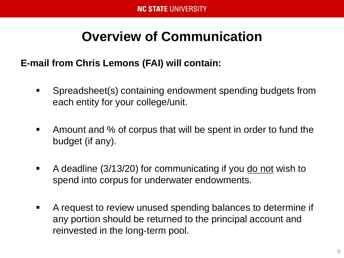### **Overview of Communication**

### **E-mail from Chris Lemons (FAI) will contain:**

- **Spreadsheet(s) containing endowment spending budgets from** each entity for your college/unit.
- Amount and % of corpus that will be spent in order to fund the budget (if any).
- A deadline (3/13/20) for communicating if you do not wish to spend into corpus for underwater endowments.
- A request to review unused spending balances to determine if any portion should be returned to the principal account and reinvested in the long-term pool.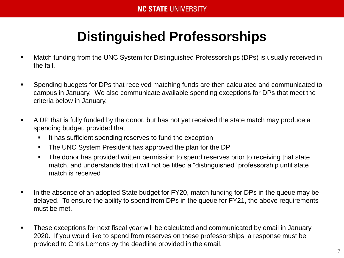## **Distinguished Professorships**

- Match funding from the UNC System for Distinguished Professorships (DPs) is usually received in the fall.
- Spending budgets for DPs that received matching funds are then calculated and communicated to campus in January. We also communicate available spending exceptions for DPs that meet the criteria below in January.
- A DP that is fully funded by the donor, but has not yet received the state match may produce a spending budget, provided that
	- **If has sufficient spending reserves to fund the exception**
	- The UNC System President has approved the plan for the DP
	- The donor has provided written permission to spend reserves prior to receiving that state match, and understands that it will not be titled a "distinguished" professorship until state match is received
- In the absence of an adopted State budget for FY20, match funding for DPs in the queue may be delayed. To ensure the ability to spend from DPs in the queue for FY21, the above requirements must be met.
- **These exceptions for next fiscal year will be calculated and communicated by email in January** 2020. If you would like to spend from reserves on these professorships, a response must be provided to Chris Lemons by the deadline provided in the email.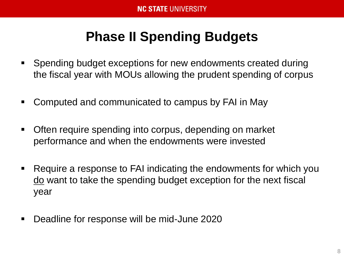### **Phase II Spending Budgets**

- **Spending budget exceptions for new endowments created during** the fiscal year with MOUs allowing the prudent spending of corpus
- Computed and communicated to campus by FAI in May
- Often require spending into corpus, depending on market performance and when the endowments were invested
- Require a response to FAI indicating the endowments for which you do want to take the spending budget exception for the next fiscal year
- Deadline for response will be mid-June 2020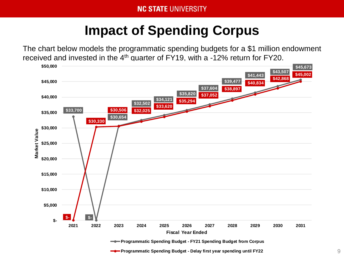## **Impact of Spending Corpus**

The chart below models the programmatic spending budgets for a \$1 million endowment received and invested in the  $4<sup>th</sup>$  quarter of FY19, with a -12% return for FY20.

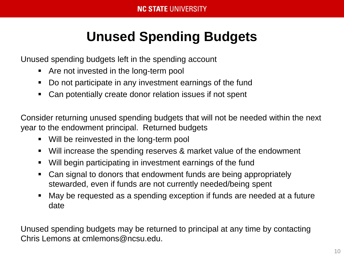## **Unused Spending Budgets**

Unused spending budgets left in the spending account

- **Are not invested in the long-term pool**
- Do not participate in any investment earnings of the fund
- Can potentially create donor relation issues if not spent

Consider returning unused spending budgets that will not be needed within the next year to the endowment principal. Returned budgets

- Will be reinvested in the long-term pool
- Will increase the spending reserves & market value of the endowment
- Will begin participating in investment earnings of the fund
- Can signal to donors that endowment funds are being appropriately stewarded, even if funds are not currently needed/being spent
- May be requested as a spending exception if funds are needed at a future date

Unused spending budgets may be returned to principal at any time by contacting Chris Lemons at cmlemons@ncsu.edu.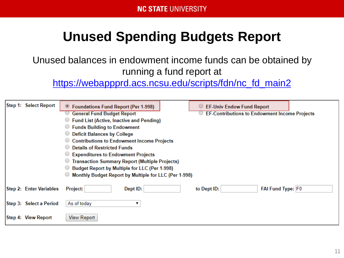## **Unused Spending Budgets Report**

Unused balances in endowment income funds can be obtained by running a fund report at

[https://webappprd.acs.ncsu.edu/scripts/fdn/nc\\_fd\\_main2](https://webappprd.acs.ncsu.edu/scripts/fdn/nc_fd_main2)

| Step 1: Select Report   | <b>Foundations Fund Report (Per 1-998)</b>            | EF-Univ Endow Fund Report                            |
|-------------------------|-------------------------------------------------------|------------------------------------------------------|
|                         | <b>General Fund Budget Report</b>                     | <b>EF-Contributions to Endowment Income Projects</b> |
|                         | <b>Fund List (Active, Inactive and Pending)</b>       |                                                      |
|                         | <b>Funds Building to Endowment</b>                    |                                                      |
|                         | <b>Deficit Balances by College</b>                    |                                                      |
|                         | Contributions to Endowment Income Projects            |                                                      |
|                         | <b>Details of Restricted Funds</b>                    |                                                      |
|                         | Expenditures to Endowment Projects                    |                                                      |
|                         | <b>Transaction Summary Report (Multiple Projects)</b> |                                                      |
|                         | ◯ Budget Report by Multiple for LLC (Per 1-998)       |                                                      |
|                         | Monthly Budget Report by Multiple for LLC (Per 1-998) |                                                      |
| Step 2: Enter Variables | Dept ID:<br><b>Project:</b>                           | FAI Fund Type: F0<br>to Dept ID:                     |
| Step 3: Select a Period | As of today                                           |                                                      |
| Step 4: View Report     | <b>View Report</b>                                    |                                                      |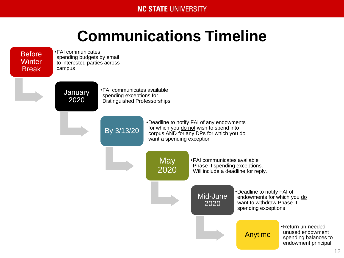#### **NC STATE UNIVERSITY**

## **Communications Timeline**